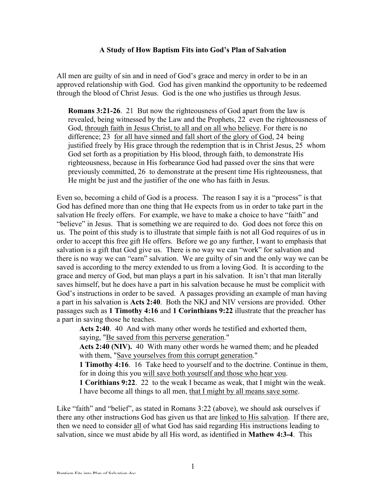#### **A Study of How Baptism Fits into God's Plan of Salvation**

All men are guilty of sin and in need of God's grace and mercy in order to be in an approved relationship with God. God has given mankind the opportunity to be redeemed through the blood of Christ Jesus. God is the one who justifies us through Jesus.

**Romans 3:21-26**. 21 But now the righteousness of God apart from the law is revealed, being witnessed by the Law and the Prophets, 22 even the righteousness of God, through faith in Jesus Christ, to all and on all who believe. For there is no difference; 23 for all have sinned and fall short of the glory of God, 24 being justified freely by His grace through the redemption that is in Christ Jesus, 25 whom God set forth as a propitiation by His blood, through faith, to demonstrate His righteousness, because in His forbearance God had passed over the sins that were previously committed, 26 to demonstrate at the present time His righteousness, that He might be just and the justifier of the one who has faith in Jesus.

Even so, becoming a child of God is a process. The reason I say it is a "process" is that God has defined more than one thing that He expects from us in order to take part in the salvation He freely offers. For example, we have to make a choice to have "faith" and "believe" in Jesus. That is something we are required to do. God does not force this on us. The point of this study is to illustrate that simple faith is not all God requires of us in order to accept this free gift He offers. Before we go any further, I want to emphasis that salvation is a gift that God give us. There is no way we can "work" for salvation and there is no way we can "earn" salvation. We are guilty of sin and the only way we can be saved is according to the mercy extended to us from a loving God. It is according to the grace and mercy of God, but man plays a part in his salvation. It isn't that man literally saves himself, but he does have a part in his salvation because he must be complicit with God's instructions in order to be saved. A passages providing an example of man having a part in his salvation is **Acts 2:40**. Both the NKJ and NIV versions are provided. Other passages such as **1 Timothy 4:16** and **1 Corinthians 9:22** illustrate that the preacher has a part in saving those he teaches.

 **Acts 2:40**. 40 And with many other words he testified and exhorted them, saying, "Be saved from this perverse generation."

 **Acts 2:40 (NIV).** 40 With many other words he warned them; and he pleaded with them, "Save yourselves from this corrupt generation."

 **1 Timothy 4:16**. 16 Take heed to yourself and to the doctrine. Continue in them, for in doing this you will save both yourself and those who hear you.

 **1 Corithians 9:22**. 22 to the weak I became as weak, that I might win the weak. I have become all things to all men, that I might by all means save some.

Like "faith" and "belief", as stated in Romans 3:22 (above), we should ask ourselves if there any other instructions God has given us that are linked to His salvation. If there are, then we need to consider all of what God has said regarding His instructions leading to salvation, since we must abide by all His word, as identified in **Mathew 4:3-4**. This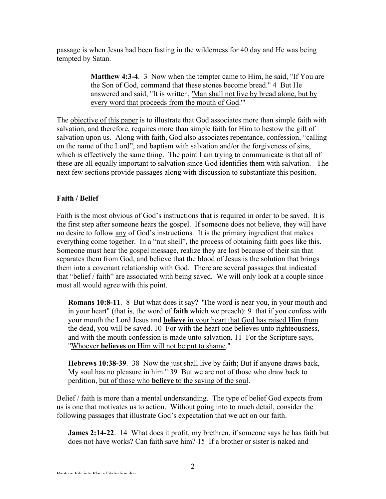passage is when Jesus had been fasting in the wilderness for 40 day and He was being tempted by Satan.

> **Matthew 4:3-4**. 3 Now when the tempter came to Him, he said, "If You are the Son of God, command that these stones become bread." 4 But He answered and said, "It is written, 'Man shall not live by bread alone, but by every word that proceeds from the mouth of God.'"

The objective of this paper is to illustrate that God associates more than simple faith with salvation, and therefore, requires more than simple faith for Him to bestow the gift of salvation upon us. Along with faith, God also associates repentance, confession, "calling on the name of the Lord", and baptism with salvation and/or the forgiveness of sins, which is effectively the same thing. The point I am trying to communicate is that all of these are all equally important to salvation since God identifies them with salvation. The next few sections provide passages along with discussion to substantiate this position.

# **Faith / Belief**

Faith is the most obvious of God's instructions that is required in order to be saved. It is the first step after someone hears the gospel. If someone does not believe, they will have no desire to follow any of God's instructions. It is the primary ingredient that makes everything come together. In a "nut shell", the process of obtaining faith goes like this. Someone must hear the gospel message, realize they are lost because of their sin that separates them from God, and believe that the blood of Jesus is the solution that brings them into a covenant relationship with God. There are several passages that indicated that "belief / faith" are associated with being saved. We will only look at a couple since most all would agree with this point.

**Romans 10:8-11**. 8 But what does it say? "The word is near you, in your mouth and in your heart" (that is, the word of **faith** which we preach): 9 that if you confess with your mouth the Lord Jesus and **believe** in your heart that God has raised Him from the dead, you will be saved. 10 For with the heart one believes unto righteousness, and with the mouth confession is made unto salvation. 11 For the Scripture says, "Whoever **believes** on Him will not be put to shame."

**Hebrews 10:38-39**. 38 Now the just shall live by faith; But if anyone draws back, My soul has no pleasure in him." 39 But we are not of those who draw back to perdition, but of those who **believe** to the saving of the soul.

Belief / faith is more than a mental understanding. The type of belief God expects from us is one that motivates us to action. Without going into to much detail, consider the following passages that illustrate God's expectation that we act on our faith.

**James 2:14-22**. 14 What does it profit, my brethren, if someone says he has faith but does not have works? Can faith save him? 15 If a brother or sister is naked and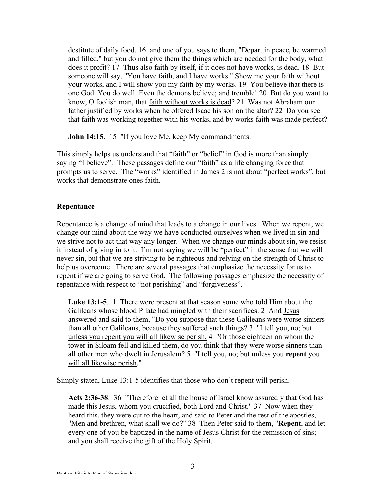destitute of daily food, 16 and one of you says to them, "Depart in peace, be warmed and filled," but you do not give them the things which are needed for the body, what does it profit? 17 Thus also faith by itself, if it does not have works, is dead. 18 But someone will say, "You have faith, and I have works." Show me your faith without your works, and I will show you my faith by my works. 19 You believe that there is one God. You do well. Even the demons believe; and tremble! 20 But do you want to know, O foolish man, that faith without works is dead? 21 Was not Abraham our father justified by works when he offered Isaac his son on the altar? 22 Do you see that faith was working together with his works, and by works faith was made perfect?

**John 14:15**. 15 "If you love Me, keep My commandments.

This simply helps us understand that "faith" or "belief" in God is more than simply saying "I believe". These passages define our "faith" as a life changing force that prompts us to serve. The "works" identified in James 2 is not about "perfect works", but works that demonstrate ones faith.

## **Repentance**

Repentance is a change of mind that leads to a change in our lives. When we repent, we change our mind about the way we have conducted ourselves when we lived in sin and we strive not to act that way any longer. When we change our minds about sin, we resist it instead of giving in to it. I'm not saying we will be "perfect" in the sense that we will never sin, but that we are striving to be righteous and relying on the strength of Christ to help us overcome. There are several passages that emphasize the necessity for us to repent if we are going to serve God. The following passages emphasize the necessity of repentance with respect to "not perishing" and "forgiveness".

**Luke 13:1-5**. 1 There were present at that season some who told Him about the Galileans whose blood Pilate had mingled with their sacrifices. 2 And Jesus answered and said to them, "Do you suppose that these Galileans were worse sinners than all other Galileans, because they suffered such things? 3 "I tell you, no; but unless you repent you will all likewise perish. 4 "Or those eighteen on whom the tower in Siloam fell and killed them, do you think that they were worse sinners than all other men who dwelt in Jerusalem? 5 "I tell you, no; but unless you **repent** you will all likewise perish."

Simply stated, Luke 13:1-5 identifies that those who don't repent will perish.

**Acts 2:36-38**. 36 "Therefore let all the house of Israel know assuredly that God has made this Jesus, whom you crucified, both Lord and Christ." 37 Now when they heard this, they were cut to the heart, and said to Peter and the rest of the apostles, "Men and brethren, what shall we do?" 38 Then Peter said to them, "**Repent**, and let every one of you be baptized in the name of Jesus Christ for the remission of sins: and you shall receive the gift of the Holy Spirit.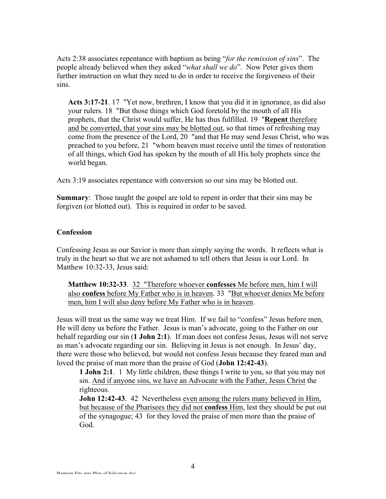Acts 2:38 associates repentance with baptism as being "*for the remission of sins*". The people already believed when they asked "*what shall we do*". Now Peter gives them further instruction on what they need to do in order to receive the forgiveness of their sins.

**Acts 3:17-21**. 17 "Yet now, brethren, I know that you did it in ignorance, as did also your rulers. 18 "But those things which God foretold by the mouth of all His prophets, that the Christ would suffer, He has thus fulfilled. 19 "**Repent** therefore and be converted, that your sins may be blotted out, so that times of refreshing may come from the presence of the Lord, 20 "and that He may send Jesus Christ, who was preached to you before, 21 "whom heaven must receive until the times of restoration of all things, which God has spoken by the mouth of all His holy prophets since the world began.

Acts 3:19 associates repentance with conversion so our sins may be blotted out.

**Summary**: Those taught the gospel are told to repent in order that their sins may be forgiven (or blotted out). This is required in order to be saved.

### **Confession**

Confessing Jesus as our Savior is more than simply saying the words. It reflects what is truly in the heart so that we are not ashamed to tell others that Jesus is our Lord. In Matthew 10:32-33, Jesus said:

**Matthew 10:32-33**. 32 "Therefore whoever **confesses** Me before men, him I will also **confess** before My Father who is in heaven. 33 "But whoever denies Me before men, him I will also deny before My Father who is in heaven.

Jesus will treat us the same way we treat Him. If we fail to "confess" Jesus before men, He will deny us before the Father. Jesus is man's advocate, going to the Father on our behalf regarding our sin (**1 John 2:1**). If man does not confess Jesus, Jesus will not serve as man's advocate regarding our sin. Believing in Jesus is not enough. In Jesus' day, there were those who believed, but would not confess Jesus because they feared man and loved the praise of man more than the praise of God (**John 12:42-43**).

 **1 John 2:1**. 1 My little children, these things I write to you, so that you may not sin. And if anyone sins, we have an Advocate with the Father, Jesus Christ the righteous.

**John 12:42-43**. 42 Nevertheless even among the rulers many believed in Him, but because of the Pharisees they did not **confess** Him, lest they should be put out of the synagogue; 43 for they loved the praise of men more than the praise of God.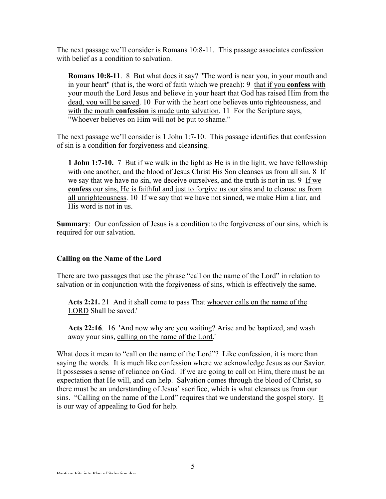The next passage we'll consider is Romans 10:8-11. This passage associates confession with belief as a condition to salvation.

**Romans 10:8-11**. 8 But what does it say? "The word is near you, in your mouth and in your heart" (that is, the word of faith which we preach): 9 that if you **confess** with your mouth the Lord Jesus and believe in your heart that God has raised Him from the dead, you will be saved. 10 For with the heart one believes unto righteousness, and with the mouth **confession** is made unto salvation. 11 For the Scripture says, "Whoever believes on Him will not be put to shame."

The next passage we'll consider is 1 John 1:7-10. This passage identifies that confession of sin is a condition for forgiveness and cleansing.

**1 John 1:7-10.** 7 But if we walk in the light as He is in the light, we have fellowship with one another, and the blood of Jesus Christ His Son cleanses us from all sin. 8 If we say that we have no sin, we deceive ourselves, and the truth is not in us. 9 If we **confess** our sins, He is faithful and just to forgive us our sins and to cleanse us from all unrighteousness. 10 If we say that we have not sinned, we make Him a liar, and His word is not in us.

**Summary:** Our confession of Jesus is a condition to the forgiveness of our sins, which is required for our salvation.

### **Calling on the Name of the Lord**

There are two passages that use the phrase "call on the name of the Lord" in relation to salvation or in conjunction with the forgiveness of sins, which is effectively the same.

**Acts 2:21.** 21 And it shall come to pass That whoever calls on the name of the LORD Shall be saved.'

**Acts 22:16**. 16 'And now why are you waiting? Arise and be baptized, and wash away your sins, calling on the name of the Lord.'

What does it mean to "call on the name of the Lord"? Like confession, it is more than saying the words. It is much like confession where we acknowledge Jesus as our Savior. It possesses a sense of reliance on God. If we are going to call on Him, there must be an expectation that He will, and can help. Salvation comes through the blood of Christ, so there must be an understanding of Jesus' sacrifice, which is what cleanses us from our sins. "Calling on the name of the Lord" requires that we understand the gospel story. It is our way of appealing to God for help.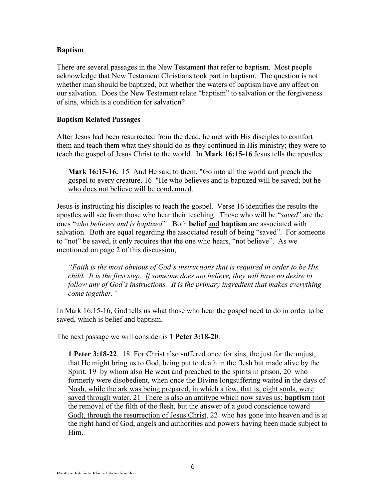## **Baptism**

There are several passages in the New Testament that refer to baptism. Most people acknowledge that New Testament Christians took part in baptism. The question is not whether man should be baptized, but whether the waters of baptism have any affect on our salvation. Does the New Testament relate "baptism" to salvation or the forgiveness of sins, which is a condition for salvation?

## **Baptism Related Passages**

After Jesus had been resurrected from the dead, he met with His disciples to comfort them and teach them what they should do as they continued in His ministry; they were to teach the gospel of Jesus Christ to the world. In **Mark 16:15-16** Jesus tells the apostles:

**Mark 16:15-16.** 15 And He said to them, "Go into all the world and preach the gospel to every creature. 16 "He who believes and is baptized will be saved; but he who does not believe will be condemned.

Jesus is instructing his disciples to teach the gospel. Verse 16 identifies the results the apostles will see from those who hear their teaching. Those who will be "*saved*" are the ones "*who believes and is baptized".* Both **belief** and **baptism** are associated with salvation. Both are equal regarding the associated result of being "saved". For someone to "not" be saved, it only requires that the one who hears, "not believe". As we mentioned on page 2 of this discussion,

*"Faith is the most obvious of God's instructions that is required in order to be His child. It is the first step. If someone does not believe, they will have no desire to follow any of God's instructions. It is the primary ingredient that makes everything come together."*

In Mark 16:15-16, God tells us what those who hear the gospel need to do in order to be saved, which is belief and baptism.

The next passage we will consider is **1 Peter 3:18-20**.

**1 Peter 3:18-22**. 18 For Christ also suffered once for sins, the just for the unjust, that He might bring us to God, being put to death in the flesh but made alive by the Spirit, 19 by whom also He went and preached to the spirits in prison, 20 who formerly were disobedient, when once the Divine longsuffering waited in the days of Noah, while the ark was being prepared, in which a few, that is, eight souls, were saved through water. 21 There is also an antitype which now saves us; **baptism** (not the removal of the filth of the flesh, but the answer of a good conscience toward God), through the resurrection of Jesus Christ, 22 who has gone into heaven and is at the right hand of God, angels and authorities and powers having been made subject to Him.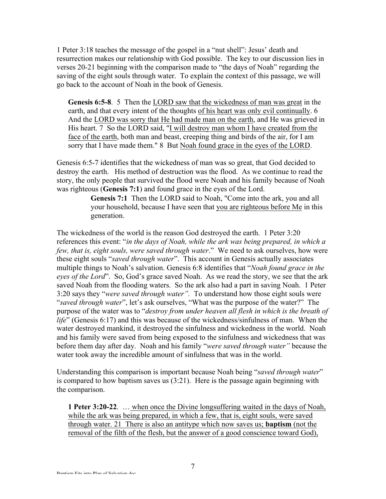1 Peter 3:18 teaches the message of the gospel in a "nut shell": Jesus' death and resurrection makes our relationship with God possible. The key to our discussion lies in verses 20-21 beginning with the comparison made to "the days of Noah" regarding the saving of the eight souls through water. To explain the context of this passage, we will go back to the account of Noah in the book of Genesis.

**Genesis 6:5-8**. 5 Then the LORD saw that the wickedness of man was great in the earth, and that every intent of the thoughts of his heart was only evil continually. 6 And the LORD was sorry that He had made man on the earth, and He was grieved in His heart. 7 So the LORD said, "I will destroy man whom I have created from the face of the earth, both man and beast, creeping thing and birds of the air, for I am sorry that I have made them." 8 But Noah found grace in the eyes of the LORD.

Genesis 6:5-7 identifies that the wickedness of man was so great, that God decided to destroy the earth. His method of destruction was the flood. As we continue to read the story, the only people that survived the flood were Noah and his family because of Noah was righteous (**Genesis 7:1**) and found grace in the eyes of the Lord.

> **Genesis 7:1** Then the LORD said to Noah, "Come into the ark, you and all your household, because I have seen that you are righteous before Me in this generation.

The wickedness of the world is the reason God destroyed the earth. 1 Peter 3:20 references this event: "*in the days of Noah, while the ark was being prepared, in which a few, that is, eight souls, were saved through water*." We need to ask ourselves, how were these eight souls "*saved through water*". This account in Genesis actually associates multiple things to Noah's salvation. Genesis 6:8 identifies that "*Noah found grace in the eyes of the Lord*". So, God's grace saved Noah. As we read the story, we see that the ark saved Noah from the flooding waters. So the ark also had a part in saving Noah. 1 Peter 3:20 says they "*were saved through water".* To understand how those eight souls were "*saved through water*", let's ask ourselves, "What was the purpose of the water?" The purpose of the water was to "*destroy from under heaven all flesh in which is the breath of life*" (Genesis 6:17) and this was because of the wickedness/sinfulness of man. When the water destroyed mankind, it destroyed the sinfulness and wickedness in the world. Noah and his family were saved from being exposed to the sinfulness and wickedness that was before them day after day. Noah and his family "*were saved through water"* because the water took away the incredible amount of sinfulness that was in the world.

Understanding this comparison is important because Noah being "*saved through water*" is compared to how baptism saves us (3:21). Here is the passage again beginning with the comparison.

**1 Peter 3:20-22**. … when once the Divine longsuffering waited in the days of Noah, while the ark was being prepared, in which a few, that is, eight souls, were saved through water. 21 There is also an antitype which now saves us; **baptism** (not the removal of the filth of the flesh, but the answer of a good conscience toward God),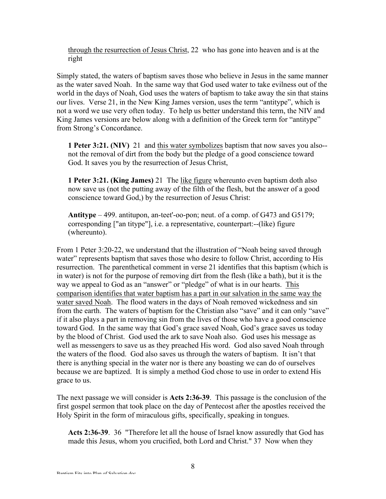through the resurrection of Jesus Christ, 22 who has gone into heaven and is at the right

Simply stated, the waters of baptism saves those who believe in Jesus in the same manner as the water saved Noah. In the same way that God used water to take evilness out of the world in the days of Noah, God uses the waters of baptism to take away the sin that stains our lives. Verse 21, in the New King James version, uses the term "antitype", which is not a word we use very often today. To help us better understand this term, the NIV and King James versions are below along with a definition of the Greek term for "antitype" from Strong's Concordance.

**1 Peter 3:21. (NIV)** 21 and this water symbolizes baptism that now saves you also- not the removal of dirt from the body but the pledge of a good conscience toward God. It saves you by the resurrection of Jesus Christ,

**1 Peter 3:21. (King James)** 21 The like figure whereunto even baptism doth also now save us (not the putting away of the filth of the flesh, but the answer of a good conscience toward God,) by the resurrection of Jesus Christ:

**Antitype** – 499. antitupon, an-teet'-oo-pon; neut. of a comp. of G473 and G5179; corresponding ["an titype"], i.e. a representative, counterpart:--(like) figure (whereunto).

From 1 Peter 3:20-22, we understand that the illustration of "Noah being saved through water" represents baptism that saves those who desire to follow Christ, according to His resurrection. The parenthetical comment in verse 21 identifies that this baptism (which is in water) is not for the purpose of removing dirt from the flesh (like a bath), but it is the way we appeal to God as an "answer" or "pledge" of what is in our hearts. This comparison identifies that water baptism has a part in our salvation in the same way the water saved Noah. The flood waters in the days of Noah removed wickedness and sin from the earth. The waters of baptism for the Christian also "save" and it can only "save" if it also plays a part in removing sin from the lives of those who have a good conscience toward God. In the same way that God's grace saved Noah, God's grace saves us today by the blood of Christ. God used the ark to save Noah also. God uses his message as well as messengers to save us as they preached His word. God also saved Noah through the waters of the flood. God also saves us through the waters of baptism. It isn't that there is anything special in the water nor is there any boasting we can do of ourselves because we are baptized. It is simply a method God chose to use in order to extend His grace to us.

The next passage we will consider is **Acts 2:36-39**. This passage is the conclusion of the first gospel sermon that took place on the day of Pentecost after the apostles received the Holy Spirit in the form of miraculous gifts, specifically, speaking in tongues.

**Acts 2:36-39**. 36 "Therefore let all the house of Israel know assuredly that God has made this Jesus, whom you crucified, both Lord and Christ." 37 Now when they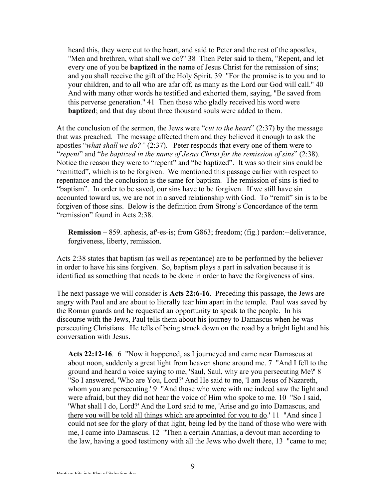heard this, they were cut to the heart, and said to Peter and the rest of the apostles, "Men and brethren, what shall we do?" 38 Then Peter said to them, "Repent, and let every one of you be **baptized** in the name of Jesus Christ for the remission of sins; and you shall receive the gift of the Holy Spirit. 39 "For the promise is to you and to your children, and to all who are afar off, as many as the Lord our God will call." 40 And with many other words he testified and exhorted them, saying, "Be saved from this perverse generation." 41 Then those who gladly received his word were **baptized**; and that day about three thousand souls were added to them.

At the conclusion of the sermon, the Jews were "*cut to the heart*" (2:37) by the message that was preached. The message affected them and they believed it enough to ask the apostles "*what shall we do?"* (2:37). Peter responds that every one of them were to "*repent*" and "*be baptized in the name of Jesus Christ for the remission of sins*" (2:38). Notice the reason they were to "repent" and "be baptized". It was so their sins could be "remitted", which is to be forgiven. We mentioned this passage earlier with respect to repentance and the conclusion is the same for baptism. The remission of sins is tied to "baptism". In order to be saved, our sins have to be forgiven. If we still have sin accounted toward us, we are not in a saved relationship with God. To "remit" sin is to be forgiven of those sins. Below is the definition from Strong's Concordance of the term "remission" found in Acts 2:38.

**Remission** – 859. aphesis, af'-es-is; from G863; freedom; (fig.) pardon:--deliverance, forgiveness, liberty, remission.

Acts 2:38 states that baptism (as well as repentance) are to be performed by the believer in order to have his sins forgiven. So, baptism plays a part in salvation because it is identified as something that needs to be done in order to have the forgiveness of sins.

The next passage we will consider is **Acts 22:6-16**. Preceding this passage, the Jews are angry with Paul and are about to literally tear him apart in the temple. Paul was saved by the Roman guards and he requested an opportunity to speak to the people. In his discourse with the Jews, Paul tells them about his journey to Damascus when he was persecuting Christians. He tells of being struck down on the road by a bright light and his conversation with Jesus.

**Acts 22:12-16**. 6 "Now it happened, as I journeyed and came near Damascus at about noon, suddenly a great light from heaven shone around me. 7 "And I fell to the ground and heard a voice saying to me, 'Saul, Saul, why are you persecuting Me?' 8 "So I answered, 'Who are You, Lord?' And He said to me, 'I am Jesus of Nazareth, whom you are persecuting.' 9 "And those who were with me indeed saw the light and were afraid, but they did not hear the voice of Him who spoke to me. 10 "So I said, 'What shall I do, Lord?' And the Lord said to me, 'Arise and go into Damascus, and there you will be told all things which are appointed for you to do.' 11 "And since I could not see for the glory of that light, being led by the hand of those who were with me, I came into Damascus. 12 "Then a certain Ananias, a devout man according to the law, having a good testimony with all the Jews who dwelt there, 13 "came to me;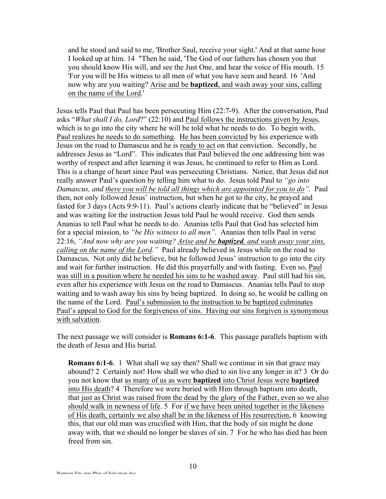and he stood and said to me, 'Brother Saul, receive your sight.' And at that same hour I looked up at him. 14 "Then he said, 'The God of our fathers has chosen you that you should know His will, and see the Just One, and hear the voice of His mouth. 15 'For you will be His witness to all men of what you have seen and heard. 16 'And now why are you waiting? Arise and be **baptized**, and wash away your sins, calling on the name of the Lord.'

Jesus tells Paul that Paul has been persecuting Him (22:7-9). After the conversation, Paul asks "*What shall I do, Lord*?" (22:10) and Paul follows the instructions given by Jesus, which is to go into the city where he will be told what he needs to do. To begin with, Paul realizes he needs to do something. He has been convicted by his experience with Jesus on the road to Damascus and he is ready to act on that conviction. Secondly, he addresses Jesus as "Lord". This indicates that Paul believed the one addressing him was worthy of respect and after learning it was Jesus, he continued to refer to Him as Lord. This is a change of heart since Paul was persecuting Christians. Notice, that Jesus did not really answer Paul's question by telling him what to do. Jesus told Paul to *"go into Damascus, and there you will be told all things which are appointed for you to do".* Paul then, not only followed Jesus' instruction, but when he got to the city, he prayed and fasted for 3 days (Acts 9:9-11). Paul's actions clearly indicate that he "believed" in Jesus and was waiting for the instruction Jesus told Paul he would receive. God then sends Ananias to tell Paul what he needs to do. Ananias tells Paul that God has selected him for a special mission, to *"be His witness to all men".* Ananias then tells Paul in verse 22:16, *"And now why are you waiting? Arise and be baptized, and wash away your sins, calling on the name of the Lord."* Paul already believed in Jesus while on the road to Damascus. Not only did he believe, but he followed Jesus' instruction to go into the city and wait for further instruction. He did this prayerfully and with fasting. Even so, Paul was still in a position where he needed his sins to be washed away. Paul still had his sin, even after his experience with Jesus on the road to Damascus. Ananias tells Paul to stop waiting and to wash away his sins by being baptized. In doing so, he would be calling on the name of the Lord. Paul's submission to the instruction to be baptized culminates Paul's appeal to God for the forgiveness of sins. Having our sins forgiven is synonymous with salvation.

The next passage we will consider is **Romans 6:1-6**. This passage parallels baptism with the death of Jesus and His burial.

**Romans 6:1-6**. 1 What shall we say then? Shall we continue in sin that grace may abound? 2 Certainly not! How shall we who died to sin live any longer in it? 3 Or do you not know that as many of us as were **baptized** into Christ Jesus were **baptized** into His death? 4 Therefore we were buried with Him through baptism into death, that just as Christ was raised from the dead by the glory of the Father, even so we also should walk in newness of life. 5 For if we have been united together in the likeness of His death, certainly we also shall be in the likeness of His resurrection, 6 knowing this, that our old man was crucified with Him, that the body of sin might be done away with, that we should no longer be slaves of sin. 7 For he who has died has been freed from sin.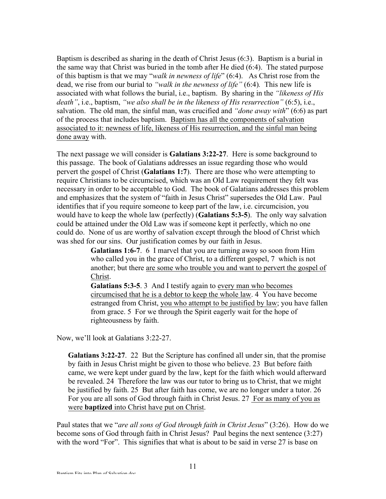Baptism is described as sharing in the death of Christ Jesus (6:3). Baptism is a burial in the same way that Christ was buried in the tomb after He died (6:4). The stated purpose of this baptism is that we may "*walk in newness of life*" (6:4). As Christ rose from the dead, we rise from our burial to *"walk in the newness of life"* (6:4)*.* This new life is associated with what follows the burial, i.e., baptism. By sharing in the *"likeness of His death"*, i.e., baptism, *"we also shall be in the likeness of His resurrection"* (6:5), i.e., salvation. The old man, the sinful man, was crucified and *"done away with*" (6:6) as part of the process that includes baptism. Baptism has all the components of salvation associated to it: newness of life, likeness of His resurrection, and the sinful man being done away with.

The next passage we will consider is **Galatians 3:22-27**. Here is some background to this passage. The book of Galatians addresses an issue regarding those who would pervert the gospel of Christ (**Galatians 1:7**). There are those who were attempting to require Christians to be circumcised, which was an Old Law requirement they felt was necessary in order to be acceptable to God. The book of Galatians addresses this problem and emphasizes that the system of "faith in Jesus Christ" supersedes the Old Law. Paul identifies that if you require someone to keep part of the law, i.e. circumcision, you would have to keep the whole law (perfectly) (**Galatians 5:3-5**). The only way salvation could be attained under the Old Law was if someone kept it perfectly, which no one could do. None of us are worthy of salvation except through the blood of Christ which was shed for our sins. Our justification comes by our faith in Jesus.

> **Galatians 1:6-7**. 6 I marvel that you are turning away so soon from Him who called you in the grace of Christ, to a different gospel, 7 which is not another; but there are some who trouble you and want to pervert the gospel of Christ.

> **Galatians 5:3-5**. 3 And I testify again to every man who becomes circumcised that he is a debtor to keep the whole law. 4 You have become estranged from Christ, you who attempt to be justified by law; you have fallen from grace. 5 For we through the Spirit eagerly wait for the hope of righteousness by faith.

Now, we'll look at Galatians 3:22-27.

**Galatians 3:22-27**. 22 But the Scripture has confined all under sin, that the promise by faith in Jesus Christ might be given to those who believe. 23 But before faith came, we were kept under guard by the law, kept for the faith which would afterward be revealed. 24 Therefore the law was our tutor to bring us to Christ, that we might be justified by faith. 25 But after faith has come, we are no longer under a tutor. 26 For you are all sons of God through faith in Christ Jesus. 27 For as many of you as were **baptized** into Christ have put on Christ.

Paul states that we "*are all sons of God through faith in Christ Jesus*" (3:26). How do we become sons of God through faith in Christ Jesus? Paul begins the next sentence (3:27) with the word "For". This signifies that what is about to be said in verse 27 is base on